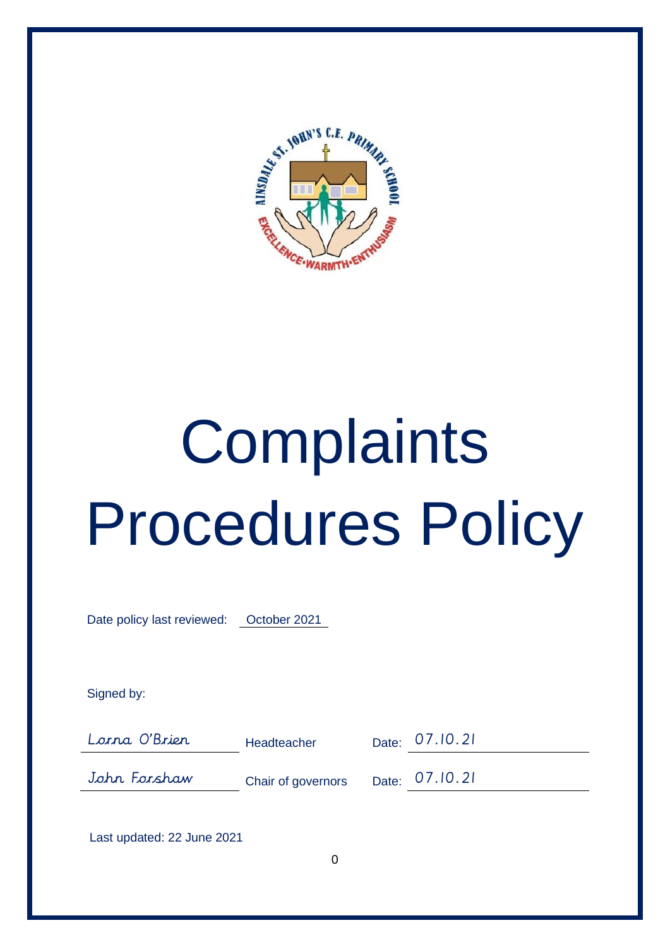

# **Complaints** Procedures Policy

Date policy last reviewed: October 2021

Signed by:

Lorna O'Brien Headteacher Date: 07.10.21

John Forshaw Chair of governors Date: 07.10.21

Last updated: 22 June 2021

 $\Omega$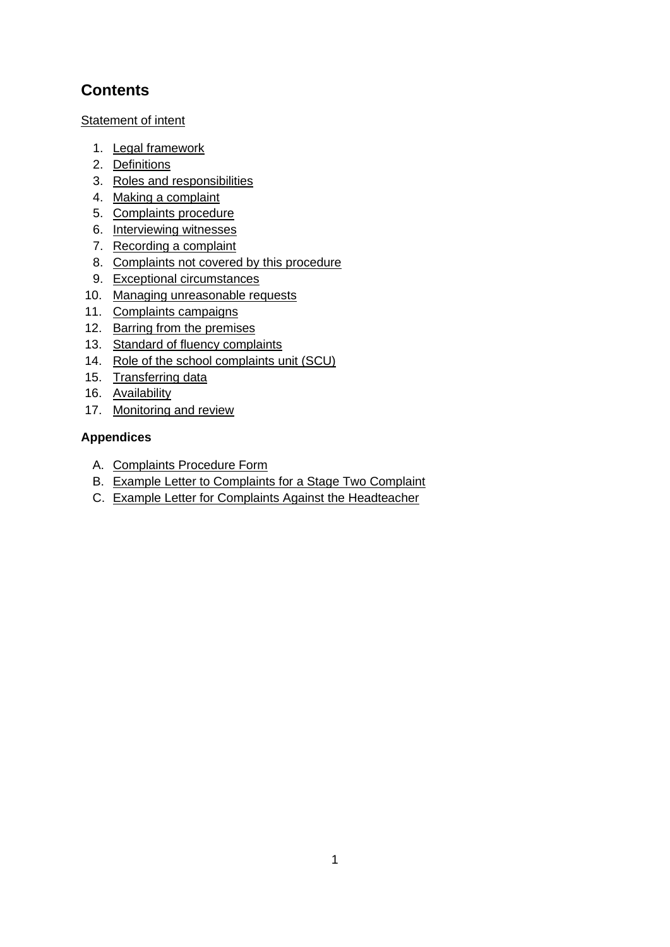# **Contents**

Statement of intent

- 1. Legal framework
- 2. Definitions
- 3. Roles and responsibilities
- 4. Making a complaint
- 5. Complaints procedure
- 6. Interviewing witnesses
- 7. Recording a complaint
- 8. Complaints not covered by this procedure
- 9. Exceptional circumstances
- 10. Managing unreasonable requests
- 11. Complaints campaigns
- 12. Barring from the premises
- 13. Standard of fluency complaints
- 14. Role of the school complaints unit (SCU)
- 15. Transferring data
- 16. Availability
- 17. Monitoring and review

# **Appendices**

- A. Complaints Procedure Form
- B. Example Letter to Complaints for a Stage Two Complaint
- C. Example Letter for Complaints Against the Headteacher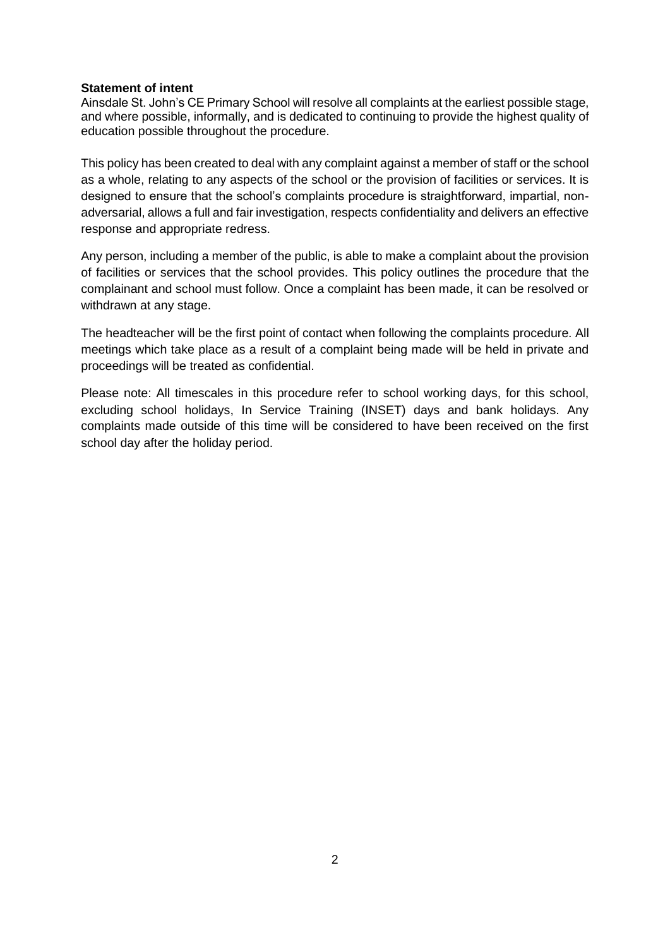#### **Statement of intent**

Ainsdale St. John's CE Primary School will resolve all complaints at the earliest possible stage, and where possible, informally, and is dedicated to continuing to provide the highest quality of education possible throughout the procedure.

This policy has been created to deal with any complaint against a member of staff or the school as a whole, relating to any aspects of the school or the provision of facilities or services. It is designed to ensure that the school's complaints procedure is straightforward, impartial, nonadversarial, allows a full and fair investigation, respects confidentiality and delivers an effective response and appropriate redress.

Any person, including a member of the public, is able to make a complaint about the provision of facilities or services that the school provides. This policy outlines the procedure that the complainant and school must follow. Once a complaint has been made, it can be resolved or withdrawn at any stage.

The headteacher will be the first point of contact when following the complaints procedure. All meetings which take place as a result of a complaint being made will be held in private and proceedings will be treated as confidential.

Please note: All timescales in this procedure refer to school working days, for this school, excluding school holidays, In Service Training (INSET) days and bank holidays. Any complaints made outside of this time will be considered to have been received on the first school day after the holiday period.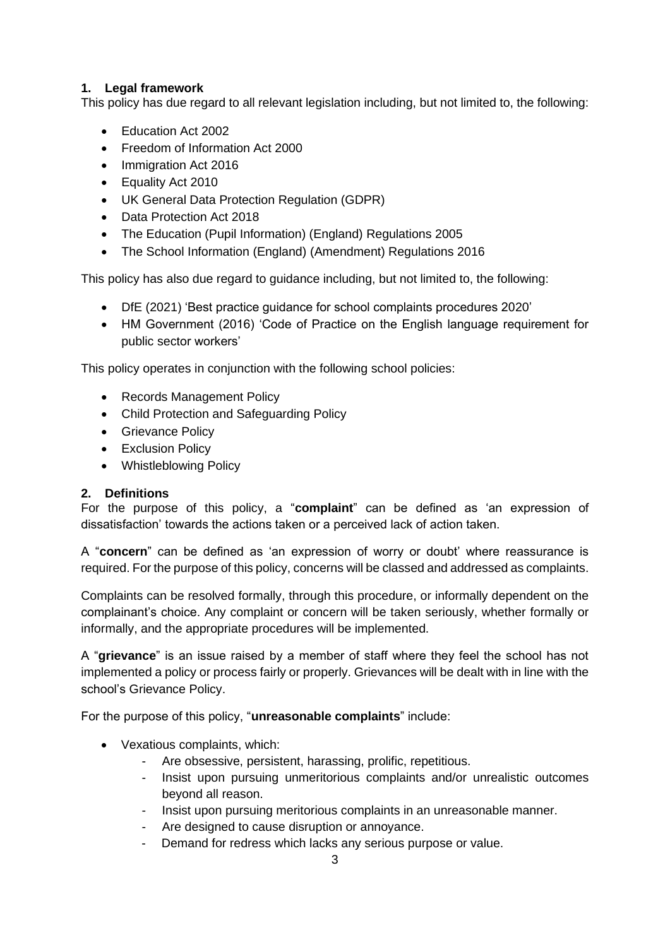# **1. Legal framework**

This policy has due regard to all relevant legislation including, but not limited to, the following:

- Education Act 2002
- Freedom of Information Act 2000
- Immigration Act 2016
- Equality Act 2010
- UK General Data Protection Regulation (GDPR)
- Data Protection Act 2018
- The Education (Pupil Information) (England) Regulations 2005
- The School Information (England) (Amendment) Regulations 2016

This policy has also due regard to guidance including, but not limited to, the following:

- DfE (2021) 'Best practice guidance for school complaints procedures 2020'
- HM Government (2016) 'Code of Practice on the English language requirement for public sector workers'

This policy operates in conjunction with the following school policies:

- Records Management Policy
- Child Protection and Safeguarding Policy
- Grievance Policy
- Exclusion Policy
- Whistleblowing Policy

# **2. Definitions**

For the purpose of this policy, a "**complaint**" can be defined as 'an expression of dissatisfaction' towards the actions taken or a perceived lack of action taken.

A "**concern**" can be defined as 'an expression of worry or doubt' where reassurance is required. For the purpose of this policy, concerns will be classed and addressed as complaints.

Complaints can be resolved formally, through this procedure, or informally dependent on the complainant's choice. Any complaint or concern will be taken seriously, whether formally or informally, and the appropriate procedures will be implemented.

A "**grievance**" is an issue raised by a member of staff where they feel the school has not implemented a policy or process fairly or properly. Grievances will be dealt with in line with the school's Grievance Policy.

For the purpose of this policy, "**unreasonable complaints**" include:

- Vexatious complaints, which:
	- Are obsessive, persistent, harassing, prolific, repetitious.
	- Insist upon pursuing unmeritorious complaints and/or unrealistic outcomes beyond all reason.
	- Insist upon pursuing meritorious complaints in an unreasonable manner.
	- Are designed to cause disruption or annoyance.
	- Demand for redress which lacks any serious purpose or value.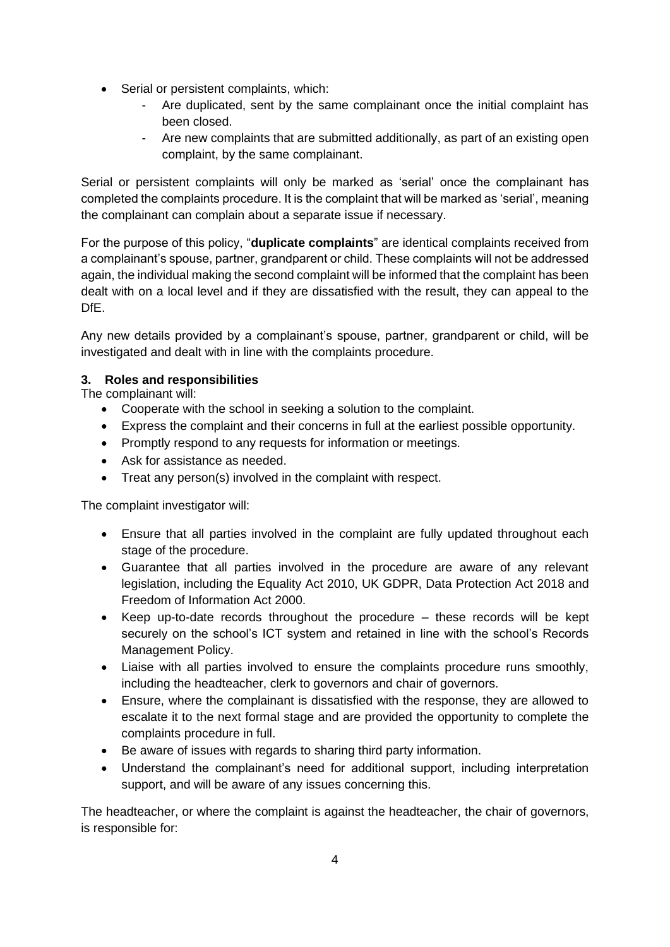- Serial or persistent complaints, which:
	- Are duplicated, sent by the same complainant once the initial complaint has been closed.
	- Are new complaints that are submitted additionally, as part of an existing open complaint, by the same complainant.

Serial or persistent complaints will only be marked as 'serial' once the complainant has completed the complaints procedure. It is the complaint that will be marked as 'serial', meaning the complainant can complain about a separate issue if necessary.

For the purpose of this policy, "**duplicate complaints**" are identical complaints received from a complainant's spouse, partner, grandparent or child. These complaints will not be addressed again, the individual making the second complaint will be informed that the complaint has been dealt with on a local level and if they are dissatisfied with the result, they can appeal to the DfE.

Any new details provided by a complainant's spouse, partner, grandparent or child, will be investigated and dealt with in line with the complaints procedure.

# **3. Roles and responsibilities**

The complainant will:

- Cooperate with the school in seeking a solution to the complaint.
- Express the complaint and their concerns in full at the earliest possible opportunity.
- Promptly respond to any requests for information or meetings.
- Ask for assistance as needed.
- Treat any person(s) involved in the complaint with respect.

The complaint investigator will:

- Ensure that all parties involved in the complaint are fully updated throughout each stage of the procedure.
- Guarantee that all parties involved in the procedure are aware of any relevant legislation, including the Equality Act 2010, UK GDPR, Data Protection Act 2018 and Freedom of Information Act 2000.
- Keep up-to-date records throughout the procedure these records will be kept securely on the school's ICT system and retained in line with the school's Records Management Policy.
- Liaise with all parties involved to ensure the complaints procedure runs smoothly, including the headteacher, clerk to governors and chair of governors.
- Ensure, where the complainant is dissatisfied with the response, they are allowed to escalate it to the next formal stage and are provided the opportunity to complete the complaints procedure in full.
- Be aware of issues with regards to sharing third party information.
- Understand the complainant's need for additional support, including interpretation support, and will be aware of any issues concerning this.

The headteacher, or where the complaint is against the headteacher, the chair of governors, is responsible for: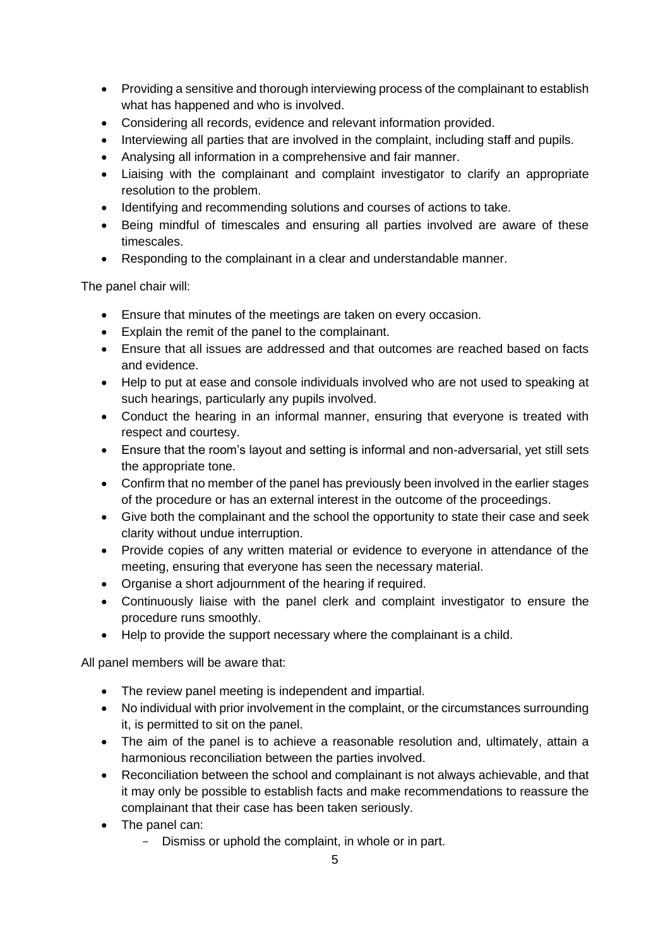- Providing a sensitive and thorough interviewing process of the complainant to establish what has happened and who is involved.
- Considering all records, evidence and relevant information provided.
- Interviewing all parties that are involved in the complaint, including staff and pupils.
- Analysing all information in a comprehensive and fair manner.
- Liaising with the complainant and complaint investigator to clarify an appropriate resolution to the problem.
- Identifying and recommending solutions and courses of actions to take.
- Being mindful of timescales and ensuring all parties involved are aware of these timescales.
- Responding to the complainant in a clear and understandable manner.

The panel chair will:

- Ensure that minutes of the meetings are taken on every occasion.
- Explain the remit of the panel to the complainant.
- Ensure that all issues are addressed and that outcomes are reached based on facts and evidence.
- Help to put at ease and console individuals involved who are not used to speaking at such hearings, particularly any pupils involved.
- Conduct the hearing in an informal manner, ensuring that everyone is treated with respect and courtesy.
- Ensure that the room's layout and setting is informal and non-adversarial, yet still sets the appropriate tone.
- Confirm that no member of the panel has previously been involved in the earlier stages of the procedure or has an external interest in the outcome of the proceedings.
- Give both the complainant and the school the opportunity to state their case and seek clarity without undue interruption.
- Provide copies of any written material or evidence to everyone in attendance of the meeting, ensuring that everyone has seen the necessary material.
- Organise a short adjournment of the hearing if required.
- Continuously liaise with the panel clerk and complaint investigator to ensure the procedure runs smoothly.
- Help to provide the support necessary where the complainant is a child.

All panel members will be aware that:

- The review panel meeting is independent and impartial.
- No individual with prior involvement in the complaint, or the circumstances surrounding it, is permitted to sit on the panel.
- The aim of the panel is to achieve a reasonable resolution and, ultimately, attain a harmonious reconciliation between the parties involved.
- Reconciliation between the school and complainant is not always achievable, and that it may only be possible to establish facts and make recommendations to reassure the complainant that their case has been taken seriously.
- The panel can:
	- Dismiss or uphold the complaint, in whole or in part.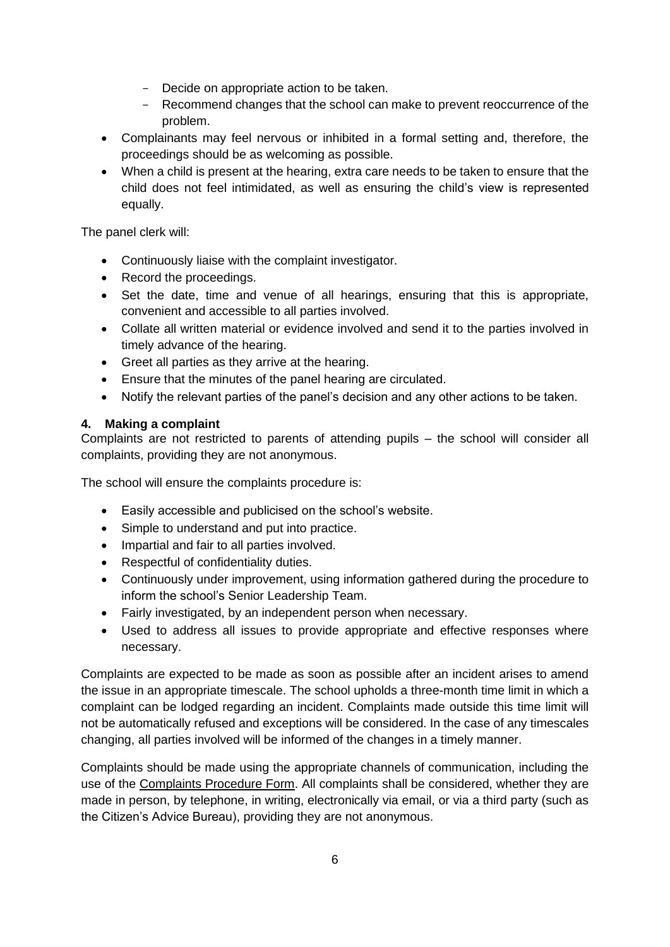- Decide on appropriate action to be taken.
- Recommend changes that the school can make to prevent reoccurrence of the problem.
- Complainants may feel nervous or inhibited in a formal setting and, therefore, the proceedings should be as welcoming as possible.
- When a child is present at the hearing, extra care needs to be taken to ensure that the child does not feel intimidated, as well as ensuring the child's view is represented equally.

The panel clerk will:

- Continuously liaise with the complaint investigator.
- Record the proceedings.
- Set the date, time and venue of all hearings, ensuring that this is appropriate, convenient and accessible to all parties involved.
- Collate all written material or evidence involved and send it to the parties involved in timely advance of the hearing.
- Greet all parties as they arrive at the hearing.
- Ensure that the minutes of the panel hearing are circulated.
- Notify the relevant parties of the panel's decision and any other actions to be taken.

# **4. Making a complaint**

Complaints are not restricted to parents of attending pupils – the school will consider all complaints, providing they are not anonymous.

The school will ensure the complaints procedure is:

- Easily accessible and publicised on the school's website.
- Simple to understand and put into practice.
- Impartial and fair to all parties involved.
- Respectful of confidentiality duties.
- Continuously under improvement, using information gathered during the procedure to inform the school's Senior Leadership Team.
- Fairly investigated, by an independent person when necessary.
- Used to address all issues to provide appropriate and effective responses where necessary.

Complaints are expected to be made as soon as possible after an incident arises to amend the issue in an appropriate timescale. The school upholds a three-month time limit in which a complaint can be lodged regarding an incident. Complaints made outside this time limit will not be automatically refused and exceptions will be considered. In the case of any timescales changing, all parties involved will be informed of the changes in a timely manner.

Complaints should be made using the appropriate channels of communication, including the use of the Complaints Procedure Form. All complaints shall be considered, whether they are made in person, by telephone, in writing, electronically via email, or via a third party (such as the Citizen's Advice Bureau), providing they are not anonymous.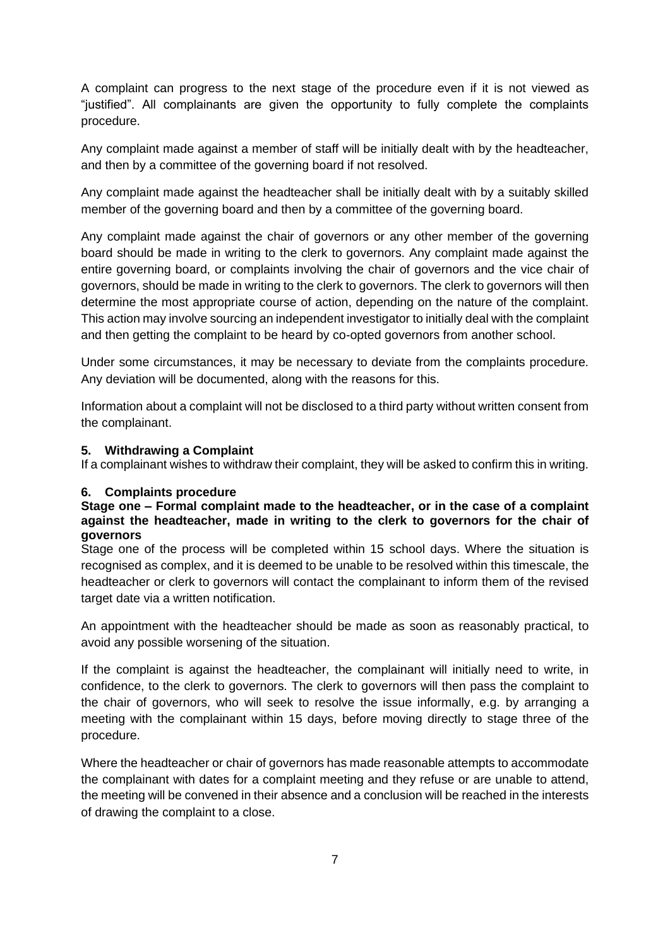A complaint can progress to the next stage of the procedure even if it is not viewed as "justified". All complainants are given the opportunity to fully complete the complaints procedure.

Any complaint made against a member of staff will be initially dealt with by the headteacher, and then by a committee of the governing board if not resolved.

Any complaint made against the headteacher shall be initially dealt with by a suitably skilled member of the governing board and then by a committee of the governing board.

Any complaint made against the chair of governors or any other member of the governing board should be made in writing to the clerk to governors. Any complaint made against the entire governing board, or complaints involving the chair of governors and the vice chair of governors, should be made in writing to the clerk to governors. The clerk to governors will then determine the most appropriate course of action, depending on the nature of the complaint. This action may involve sourcing an independent investigator to initially deal with the complaint and then getting the complaint to be heard by co-opted governors from another school.

Under some circumstances, it may be necessary to deviate from the complaints procedure. Any deviation will be documented, along with the reasons for this.

Information about a complaint will not be disclosed to a third party without written consent from the complainant.

#### **5. Withdrawing a Complaint**

If a complainant wishes to withdraw their complaint, they will be asked to confirm this in writing.

#### **6. Complaints procedure**

#### **Stage one – Formal complaint made to the headteacher, or in the case of a complaint against the headteacher, made in writing to the clerk to governors for the chair of governors**

Stage one of the process will be completed within 15 school days. Where the situation is recognised as complex, and it is deemed to be unable to be resolved within this timescale, the headteacher or clerk to governors will contact the complainant to inform them of the revised target date via a written notification.

An appointment with the headteacher should be made as soon as reasonably practical, to avoid any possible worsening of the situation.

If the complaint is against the headteacher, the complainant will initially need to write, in confidence, to the clerk to governors. The clerk to governors will then pass the complaint to the chair of governors, who will seek to resolve the issue informally, e.g. by arranging a meeting with the complainant within 15 days, before moving directly to stage three of the procedure.

Where the headteacher or chair of governors has made reasonable attempts to accommodate the complainant with dates for a complaint meeting and they refuse or are unable to attend, the meeting will be convened in their absence and a conclusion will be reached in the interests of drawing the complaint to a close.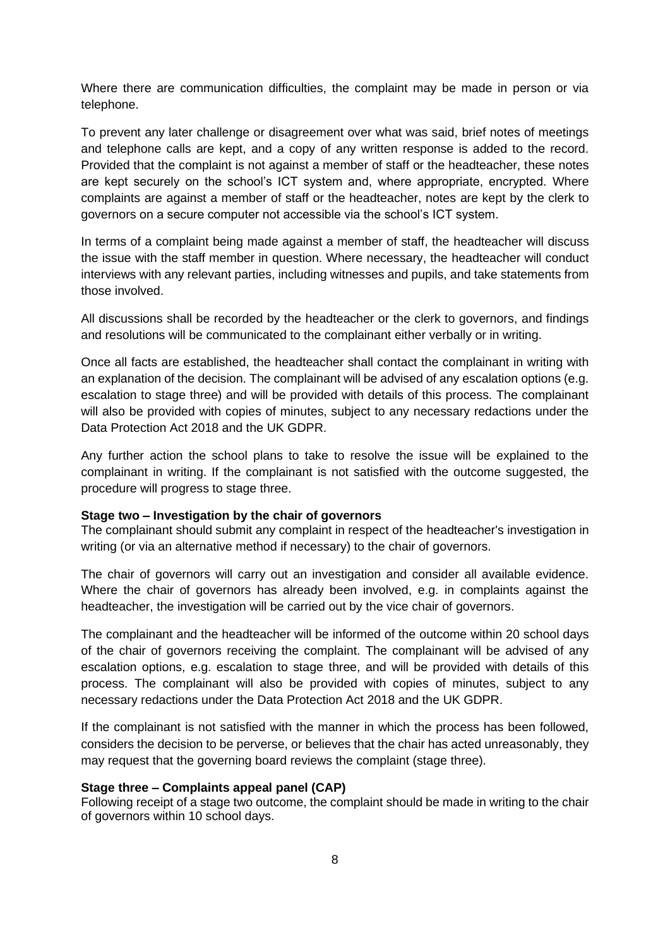Where there are communication difficulties, the complaint may be made in person or via telephone.

To prevent any later challenge or disagreement over what was said, brief notes of meetings and telephone calls are kept, and a copy of any written response is added to the record. Provided that the complaint is not against a member of staff or the headteacher, these notes are kept securely on the school's ICT system and, where appropriate, encrypted. Where complaints are against a member of staff or the headteacher, notes are kept by the clerk to governors on a secure computer not accessible via the school's ICT system.

In terms of a complaint being made against a member of staff, the headteacher will discuss the issue with the staff member in question. Where necessary, the headteacher will conduct interviews with any relevant parties, including witnesses and pupils, and take statements from those involved.

All discussions shall be recorded by the headteacher or the clerk to governors, and findings and resolutions will be communicated to the complainant either verbally or in writing.

Once all facts are established, the headteacher shall contact the complainant in writing with an explanation of the decision. The complainant will be advised of any escalation options (e.g. escalation to stage three) and will be provided with details of this process. The complainant will also be provided with copies of minutes, subject to any necessary redactions under the Data Protection Act 2018 and the UK GDPR.

Any further action the school plans to take to resolve the issue will be explained to the complainant in writing. If the complainant is not satisfied with the outcome suggested, the procedure will progress to stage three.

#### **Stage two – Investigation by the chair of governors**

The complainant should submit any complaint in respect of the headteacher's investigation in writing (or via an alternative method if necessary) to the chair of governors.

The chair of governors will carry out an investigation and consider all available evidence. Where the chair of governors has already been involved, e.g. in complaints against the headteacher, the investigation will be carried out by the vice chair of governors.

The complainant and the headteacher will be informed of the outcome within 20 school days of the chair of governors receiving the complaint. The complainant will be advised of any escalation options, e.g. escalation to stage three, and will be provided with details of this process. The complainant will also be provided with copies of minutes, subject to any necessary redactions under the Data Protection Act 2018 and the UK GDPR.

If the complainant is not satisfied with the manner in which the process has been followed, considers the decision to be perverse, or believes that the chair has acted unreasonably, they may request that the governing board reviews the complaint (stage three).

#### **Stage three – Complaints appeal panel (CAP)**

Following receipt of a stage two outcome, the complaint should be made in writing to the chair of governors within 10 school days.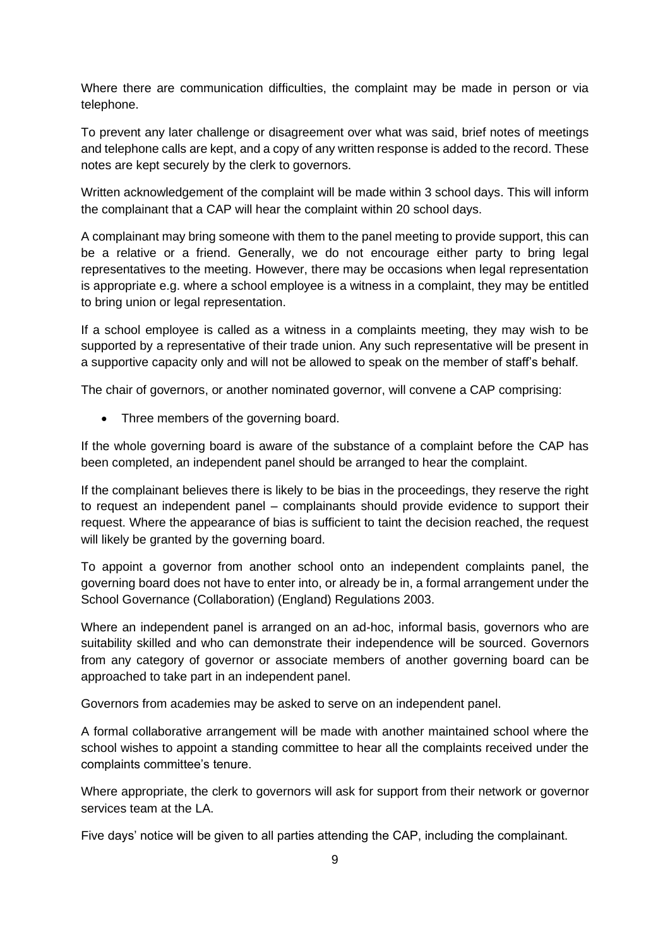Where there are communication difficulties, the complaint may be made in person or via telephone.

To prevent any later challenge or disagreement over what was said, brief notes of meetings and telephone calls are kept, and a copy of any written response is added to the record. These notes are kept securely by the clerk to governors.

Written acknowledgement of the complaint will be made within 3 school days. This will inform the complainant that a CAP will hear the complaint within 20 school days.

A complainant may bring someone with them to the panel meeting to provide support, this can be a relative or a friend. Generally, we do not encourage either party to bring legal representatives to the meeting. However, there may be occasions when legal representation is appropriate e.g. where a school employee is a witness in a complaint, they may be entitled to bring union or legal representation.

If a school employee is called as a witness in a complaints meeting, they may wish to be supported by a representative of their trade union. Any such representative will be present in a supportive capacity only and will not be allowed to speak on the member of staff's behalf.

The chair of governors, or another nominated governor, will convene a CAP comprising:

• Three members of the governing board.

If the whole governing board is aware of the substance of a complaint before the CAP has been completed, an independent panel should be arranged to hear the complaint.

If the complainant believes there is likely to be bias in the proceedings, they reserve the right to request an independent panel – complainants should provide evidence to support their request. Where the appearance of bias is sufficient to taint the decision reached, the request will likely be granted by the governing board.

To appoint a governor from another school onto an independent complaints panel, the governing board does not have to enter into, or already be in, a formal arrangement under the School Governance (Collaboration) (England) Regulations 2003.

Where an independent panel is arranged on an ad-hoc, informal basis, governors who are suitability skilled and who can demonstrate their independence will be sourced. Governors from any category of governor or associate members of another governing board can be approached to take part in an independent panel.

Governors from academies may be asked to serve on an independent panel.

A formal collaborative arrangement will be made with another maintained school where the school wishes to appoint a standing committee to hear all the complaints received under the complaints committee's tenure.

Where appropriate, the clerk to governors will ask for support from their network or governor services team at the LA.

Five days' notice will be given to all parties attending the CAP, including the complainant.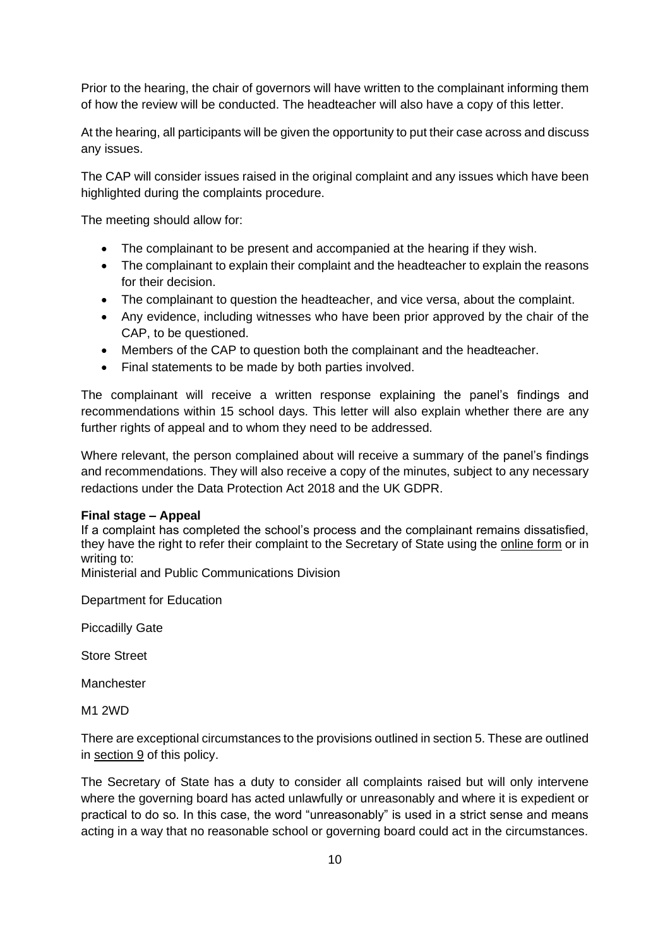Prior to the hearing, the chair of governors will have written to the complainant informing them of how the review will be conducted. The headteacher will also have a copy of this letter.

At the hearing, all participants will be given the opportunity to put their case across and discuss any issues.

The CAP will consider issues raised in the original complaint and any issues which have been highlighted during the complaints procedure.

The meeting should allow for:

- The complainant to be present and accompanied at the hearing if they wish.
- The complainant to explain their complaint and the headteacher to explain the reasons for their decision.
- The complainant to question the headteacher, and vice versa, about the complaint.
- Any evidence, including witnesses who have been prior approved by the chair of the CAP, to be questioned.
- Members of the CAP to question both the complainant and the headteacher.
- Final statements to be made by both parties involved.

The complainant will receive a written response explaining the panel's findings and recommendations within 15 school days. This letter will also explain whether there are any further rights of appeal and to whom they need to be addressed.

Where relevant, the person complained about will receive a summary of the panel's findings and recommendations. They will also receive a copy of the minutes, subject to any necessary redactions under the Data Protection Act 2018 and the UK GDPR.

#### **Final stage – Appeal**

If a complaint has completed the school's process and the complainant remains dissatisfied, they have the right to refer their complaint to the Secretary of State using the [online form](https://form.education.gov.uk/en/AchieveForms/?form_uri=sandbox-publish://AF-Process-f1453496-7d8a-463f-9f33-1da2ac47ed76/AF-Stage-1e64d4cc-25fb-499a-a8d7-74e98203ac00/definition.json&redirectlink=%2Fen&cancelRedirectLink=%2Fen) or in writing to:

Ministerial and Public Communications Division

Department for Education

Piccadilly Gate

Store Street

Manchester

M1 2WD

There are exceptional circumstances to the provisions outlined in section 5. These are outlined in section 9 of this policy.

The Secretary of State has a duty to consider all complaints raised but will only intervene where the governing board has acted unlawfully or unreasonably and where it is expedient or practical to do so. In this case, the word "unreasonably" is used in a strict sense and means acting in a way that no reasonable school or governing board could act in the circumstances.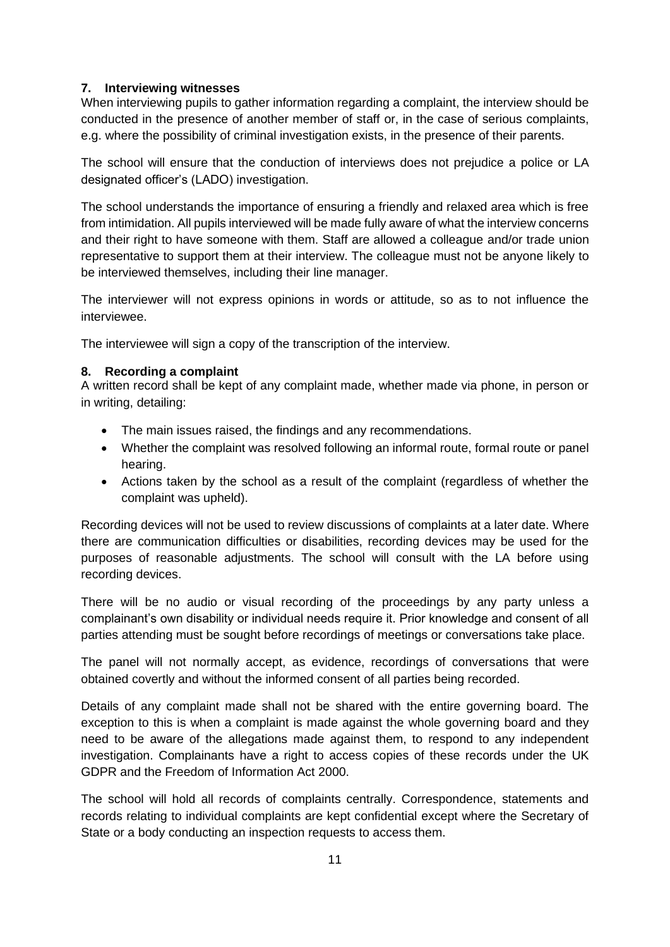## **7. Interviewing witnesses**

When interviewing pupils to gather information regarding a complaint, the interview should be conducted in the presence of another member of staff or, in the case of serious complaints, e.g. where the possibility of criminal investigation exists, in the presence of their parents.

The school will ensure that the conduction of interviews does not prejudice a police or LA designated officer's (LADO) investigation.

The school understands the importance of ensuring a friendly and relaxed area which is free from intimidation. All pupils interviewed will be made fully aware of what the interview concerns and their right to have someone with them. Staff are allowed a colleague and/or trade union representative to support them at their interview. The colleague must not be anyone likely to be interviewed themselves, including their line manager.

The interviewer will not express opinions in words or attitude, so as to not influence the interviewee.

The interviewee will sign a copy of the transcription of the interview.

## **8. Recording a complaint**

A written record shall be kept of any complaint made, whether made via phone, in person or in writing, detailing:

- The main issues raised, the findings and any recommendations.
- Whether the complaint was resolved following an informal route, formal route or panel hearing.
- Actions taken by the school as a result of the complaint (regardless of whether the complaint was upheld).

Recording devices will not be used to review discussions of complaints at a later date. Where there are communication difficulties or disabilities, recording devices may be used for the purposes of reasonable adjustments. The school will consult with the LA before using recording devices.

There will be no audio or visual recording of the proceedings by any party unless a complainant's own disability or individual needs require it. Prior knowledge and consent of all parties attending must be sought before recordings of meetings or conversations take place.

The panel will not normally accept, as evidence, recordings of conversations that were obtained covertly and without the informed consent of all parties being recorded.

Details of any complaint made shall not be shared with the entire governing board. The exception to this is when a complaint is made against the whole governing board and they need to be aware of the allegations made against them, to respond to any independent investigation. Complainants have a right to access copies of these records under the UK GDPR and the Freedom of Information Act 2000.

The school will hold all records of complaints centrally. Correspondence, statements and records relating to individual complaints are kept confidential except where the Secretary of State or a body conducting an inspection requests to access them.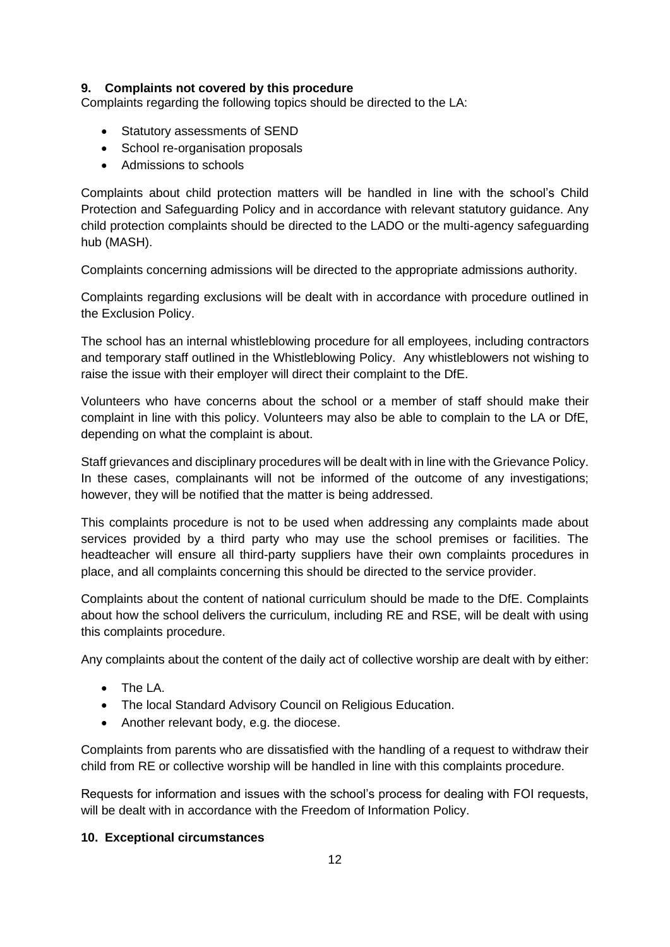## **9. Complaints not covered by this procedure**

Complaints regarding the following topics should be directed to the LA:

- Statutory assessments of SEND
- School re-organisation proposals
- Admissions to schools

Complaints about child protection matters will be handled in line with the school's Child Protection and Safeguarding Policy and in accordance with relevant statutory guidance. Any child protection complaints should be directed to the LADO or the multi-agency safeguarding hub (MASH).

Complaints concerning admissions will be directed to the appropriate admissions authority.

Complaints regarding exclusions will be dealt with in accordance with procedure outlined in the Exclusion Policy.

The school has an internal whistleblowing procedure for all employees, including contractors and temporary staff outlined in the Whistleblowing Policy. Any whistleblowers not wishing to raise the issue with their employer will direct their complaint to the DfE.

Volunteers who have concerns about the school or a member of staff should make their complaint in line with this policy. Volunteers may also be able to complain to the LA or DfE, depending on what the complaint is about.

Staff grievances and disciplinary procedures will be dealt with in line with the Grievance Policy. In these cases, complainants will not be informed of the outcome of any investigations; however, they will be notified that the matter is being addressed.

This complaints procedure is not to be used when addressing any complaints made about services provided by a third party who may use the school premises or facilities. The headteacher will ensure all third-party suppliers have their own complaints procedures in place, and all complaints concerning this should be directed to the service provider.

Complaints about the content of national curriculum should be made to the DfE. Complaints about how the school delivers the curriculum, including RE and RSE, will be dealt with using this complaints procedure.

Any complaints about the content of the daily act of collective worship are dealt with by either:

- The LA.
- The local Standard Advisory Council on Religious Education.
- Another relevant body, e.g. the diocese.

Complaints from parents who are dissatisfied with the handling of a request to withdraw their child from RE or collective worship will be handled in line with this complaints procedure.

Requests for information and issues with the school's process for dealing with FOI requests, will be dealt with in accordance with the Freedom of Information Policy.

#### **10. Exceptional circumstances**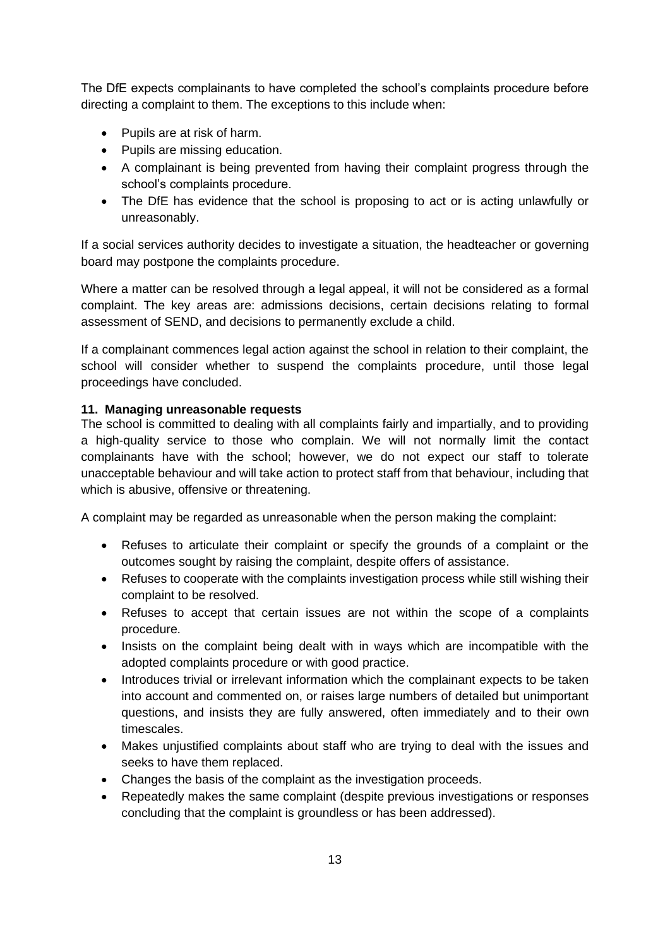The DfE expects complainants to have completed the school's complaints procedure before directing a complaint to them. The exceptions to this include when:

- Pupils are at risk of harm.
- Pupils are missing education.
- A complainant is being prevented from having their complaint progress through the school's complaints procedure.
- The DfE has evidence that the school is proposing to act or is acting unlawfully or unreasonably.

If a social services authority decides to investigate a situation, the headteacher or governing board may postpone the complaints procedure.

Where a matter can be resolved through a legal appeal, it will not be considered as a formal complaint. The key areas are: admissions decisions, certain decisions relating to formal assessment of SEND, and decisions to permanently exclude a child.

If a complainant commences legal action against the school in relation to their complaint, the school will consider whether to suspend the complaints procedure, until those legal proceedings have concluded.

#### **11. Managing unreasonable requests**

The school is committed to dealing with all complaints fairly and impartially, and to providing a high-quality service to those who complain. We will not normally limit the contact complainants have with the school; however, we do not expect our staff to tolerate unacceptable behaviour and will take action to protect staff from that behaviour, including that which is abusive, offensive or threatening.

A complaint may be regarded as unreasonable when the person making the complaint:

- Refuses to articulate their complaint or specify the grounds of a complaint or the outcomes sought by raising the complaint, despite offers of assistance.
- Refuses to cooperate with the complaints investigation process while still wishing their complaint to be resolved.
- Refuses to accept that certain issues are not within the scope of a complaints procedure.
- Insists on the complaint being dealt with in ways which are incompatible with the adopted complaints procedure or with good practice.
- Introduces trivial or irrelevant information which the complainant expects to be taken into account and commented on, or raises large numbers of detailed but unimportant questions, and insists they are fully answered, often immediately and to their own timescales.
- Makes unjustified complaints about staff who are trying to deal with the issues and seeks to have them replaced.
- Changes the basis of the complaint as the investigation proceeds.
- Repeatedly makes the same complaint (despite previous investigations or responses concluding that the complaint is groundless or has been addressed).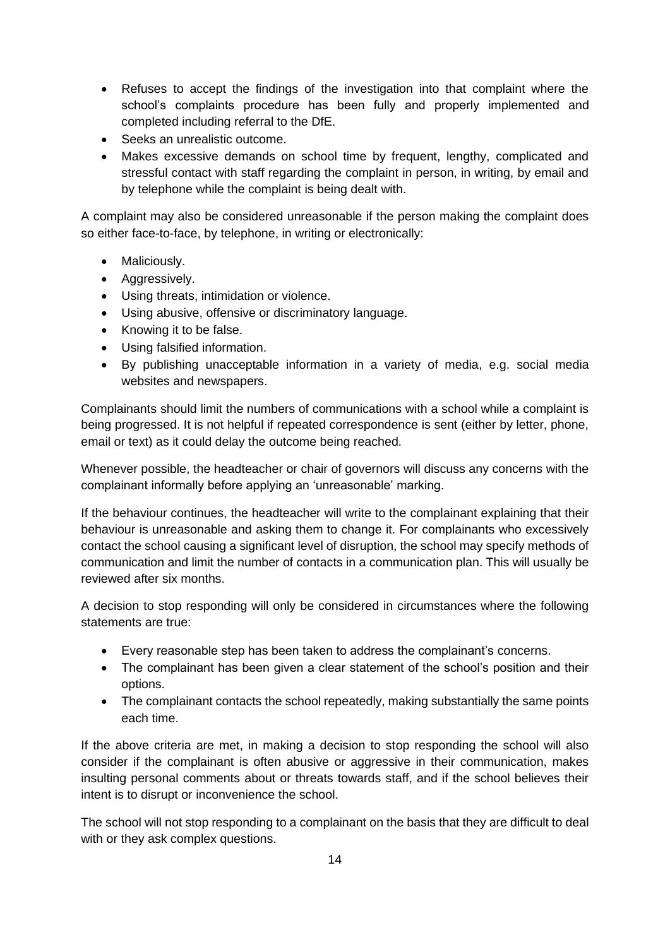- Refuses to accept the findings of the investigation into that complaint where the school's complaints procedure has been fully and properly implemented and completed including referral to the DfE.
- Seeks an unrealistic outcome.
- Makes excessive demands on school time by frequent, lengthy, complicated and stressful contact with staff regarding the complaint in person, in writing, by email and by telephone while the complaint is being dealt with.

A complaint may also be considered unreasonable if the person making the complaint does so either face-to-face, by telephone, in writing or electronically:

- Maliciously.
- Aggressively.
- Using threats, intimidation or violence.
- Using abusive, offensive or discriminatory language.
- Knowing it to be false.
- Using falsified information.
- By publishing unacceptable information in a variety of media, e.g. social media websites and newspapers.

Complainants should limit the numbers of communications with a school while a complaint is being progressed. It is not helpful if repeated correspondence is sent (either by letter, phone, email or text) as it could delay the outcome being reached.

Whenever possible, the headteacher or chair of governors will discuss any concerns with the complainant informally before applying an 'unreasonable' marking.

If the behaviour continues, the headteacher will write to the complainant explaining that their behaviour is unreasonable and asking them to change it. For complainants who excessively contact the school causing a significant level of disruption, the school may specify methods of communication and limit the number of contacts in a communication plan. This will usually be reviewed after six months.

A decision to stop responding will only be considered in circumstances where the following statements are true:

- Every reasonable step has been taken to address the complainant's concerns.
- The complainant has been given a clear statement of the school's position and their options.
- The complainant contacts the school repeatedly, making substantially the same points each time.

If the above criteria are met, in making a decision to stop responding the school will also consider if the complainant is often abusive or aggressive in their communication, makes insulting personal comments about or threats towards staff, and if the school believes their intent is to disrupt or inconvenience the school.

The school will not stop responding to a complainant on the basis that they are difficult to deal with or they ask complex questions.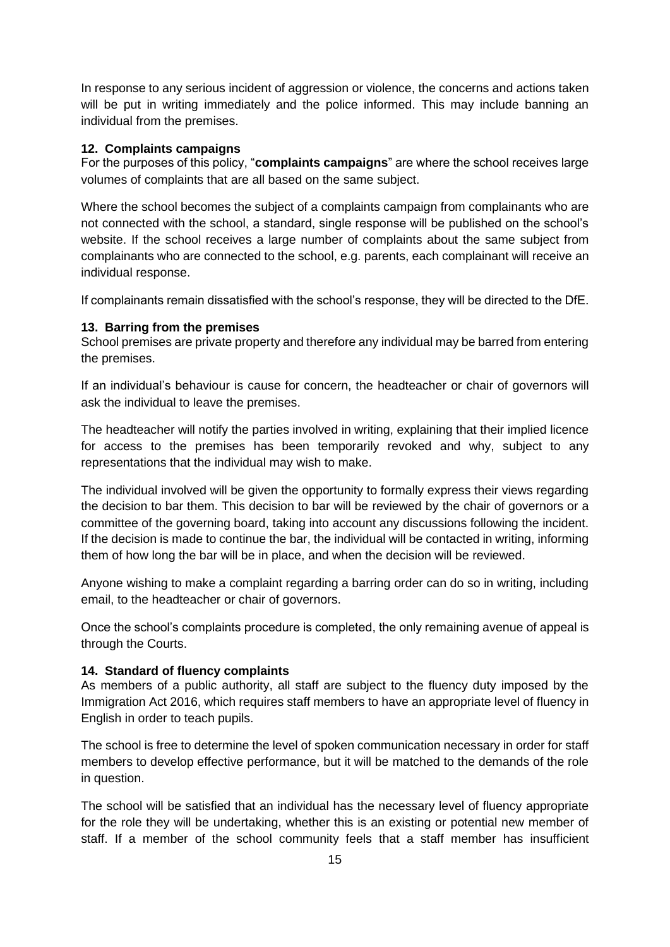In response to any serious incident of aggression or violence, the concerns and actions taken will be put in writing immediately and the police informed. This may include banning an individual from the premises.

#### **12. Complaints campaigns**

For the purposes of this policy, "**complaints campaigns**" are where the school receives large volumes of complaints that are all based on the same subject.

Where the school becomes the subject of a complaints campaign from complainants who are not connected with the school, a standard, single response will be published on the school's website. If the school receives a large number of complaints about the same subject from complainants who are connected to the school, e.g. parents, each complainant will receive an individual response.

If complainants remain dissatisfied with the school's response, they will be directed to the DfE.

#### **13. Barring from the premises**

School premises are private property and therefore any individual may be barred from entering the premises.

If an individual's behaviour is cause for concern, the headteacher or chair of governors will ask the individual to leave the premises.

The headteacher will notify the parties involved in writing, explaining that their implied licence for access to the premises has been temporarily revoked and why, subject to any representations that the individual may wish to make.

The individual involved will be given the opportunity to formally express their views regarding the decision to bar them. This decision to bar will be reviewed by the chair of governors or a committee of the governing board, taking into account any discussions following the incident. If the decision is made to continue the bar, the individual will be contacted in writing, informing them of how long the bar will be in place, and when the decision will be reviewed.

Anyone wishing to make a complaint regarding a barring order can do so in writing, including email, to the headteacher or chair of governors.

Once the school's complaints procedure is completed, the only remaining avenue of appeal is through the Courts.

#### **14. Standard of fluency complaints**

As members of a public authority, all staff are subject to the fluency duty imposed by the Immigration Act 2016, which requires staff members to have an appropriate level of fluency in English in order to teach pupils.

The school is free to determine the level of spoken communication necessary in order for staff members to develop effective performance, but it will be matched to the demands of the role in question.

The school will be satisfied that an individual has the necessary level of fluency appropriate for the role they will be undertaking, whether this is an existing or potential new member of staff. If a member of the school community feels that a staff member has insufficient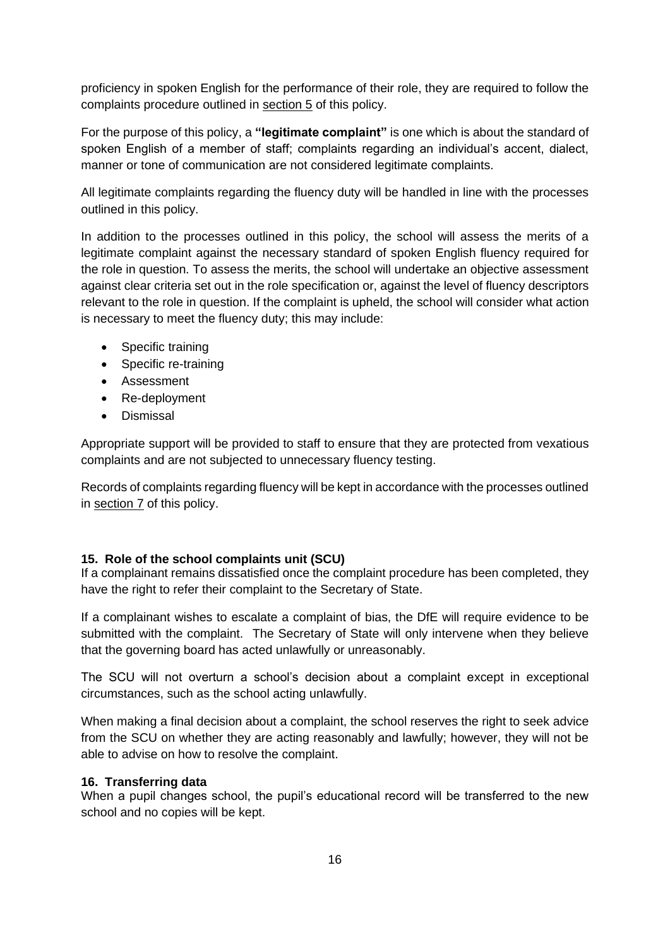proficiency in spoken English for the performance of their role, they are required to follow the complaints procedure outlined in section 5 of this policy.

For the purpose of this policy, a **"legitimate complaint"** is one which is about the standard of spoken English of a member of staff; complaints regarding an individual's accent, dialect, manner or tone of communication are not considered legitimate complaints.

All legitimate complaints regarding the fluency duty will be handled in line with the processes outlined in this policy.

In addition to the processes outlined in this policy, the school will assess the merits of a legitimate complaint against the necessary standard of spoken English fluency required for the role in question. To assess the merits, the school will undertake an objective assessment against clear criteria set out in the role specification or, against the level of fluency descriptors relevant to the role in question. If the complaint is upheld, the school will consider what action is necessary to meet the fluency duty; this may include:

- Specific training
- Specific re-training
- Assessment
- Re-deployment
- Dismissal

Appropriate support will be provided to staff to ensure that they are protected from vexatious complaints and are not subjected to unnecessary fluency testing.

Records of complaints regarding fluency will be kept in accordance with the processes outlined in section 7 of this policy.

#### **15. Role of the school complaints unit (SCU)**

If a complainant remains dissatisfied once the complaint procedure has been completed, they have the right to refer their complaint to the Secretary of State.

If a complainant wishes to escalate a complaint of bias, the DfE will require evidence to be submitted with the complaint. The Secretary of State will only intervene when they believe that the governing board has acted unlawfully or unreasonably.

The SCU will not overturn a school's decision about a complaint except in exceptional circumstances, such as the school acting unlawfully.

When making a final decision about a complaint, the school reserves the right to seek advice from the SCU on whether they are acting reasonably and lawfully; however, they will not be able to advise on how to resolve the complaint.

#### **16. Transferring data**

When a pupil changes school, the pupil's educational record will be transferred to the new school and no copies will be kept.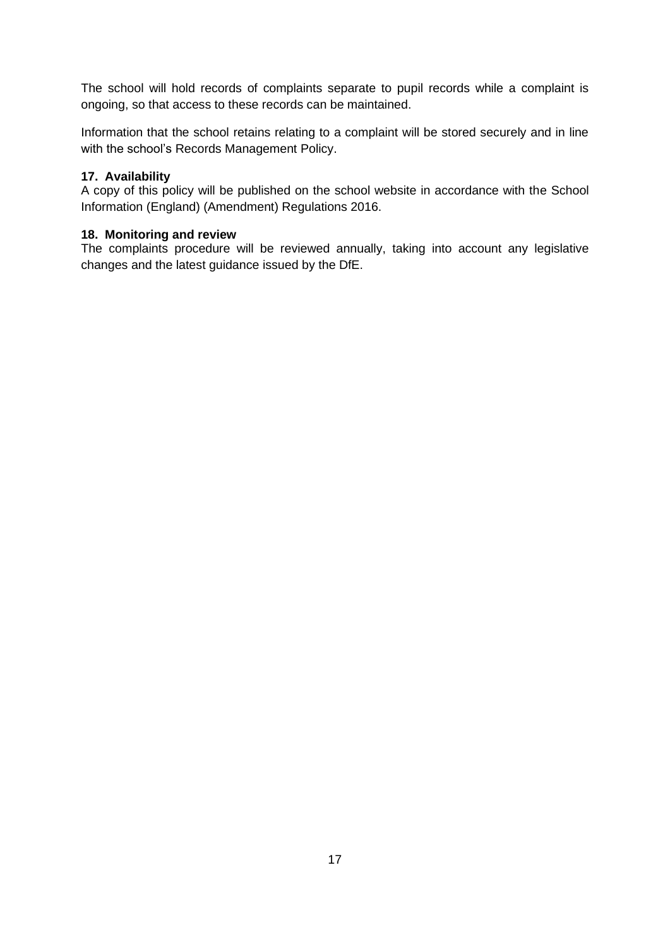The school will hold records of complaints separate to pupil records while a complaint is ongoing, so that access to these records can be maintained.

Information that the school retains relating to a complaint will be stored securely and in line with the school's Records Management Policy.

## **17. Availability**

A copy of this policy will be published on the school website in accordance with the School Information (England) (Amendment) Regulations 2016.

### **18. Monitoring and review**

The complaints procedure will be reviewed annually, taking into account any legislative changes and the latest guidance issued by the DfE.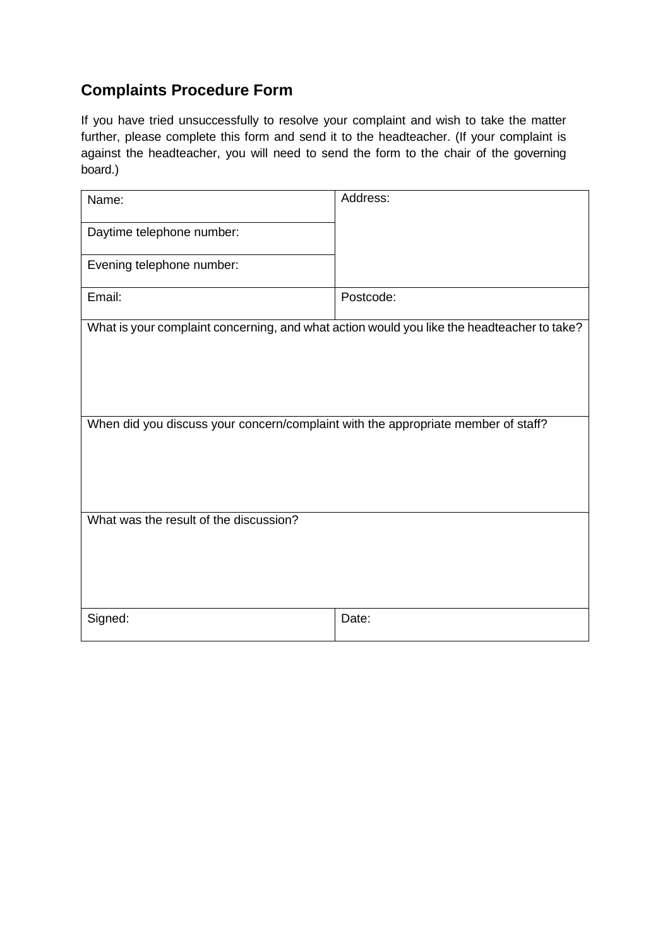# **Complaints Procedure Form**

If you have tried unsuccessfully to resolve your complaint and wish to take the matter further, please complete this form and send it to the headteacher. (If your complaint is against the headteacher, you will need to send the form to the chair of the governing board.)

| Name:                                                                                      | Address:  |
|--------------------------------------------------------------------------------------------|-----------|
|                                                                                            |           |
| Daytime telephone number:                                                                  |           |
|                                                                                            |           |
| Evening telephone number:                                                                  |           |
|                                                                                            |           |
| Email:                                                                                     | Postcode: |
|                                                                                            |           |
| What is your complaint concerning, and what action would you like the headteacher to take? |           |
|                                                                                            |           |
|                                                                                            |           |
|                                                                                            |           |
|                                                                                            |           |
| When did you discuss your concern/complaint with the appropriate member of staff?          |           |
|                                                                                            |           |
|                                                                                            |           |
|                                                                                            |           |
|                                                                                            |           |
| What was the result of the discussion?                                                     |           |
|                                                                                            |           |
|                                                                                            |           |
|                                                                                            |           |
|                                                                                            |           |
|                                                                                            |           |
| Signed:                                                                                    | Date:     |
|                                                                                            |           |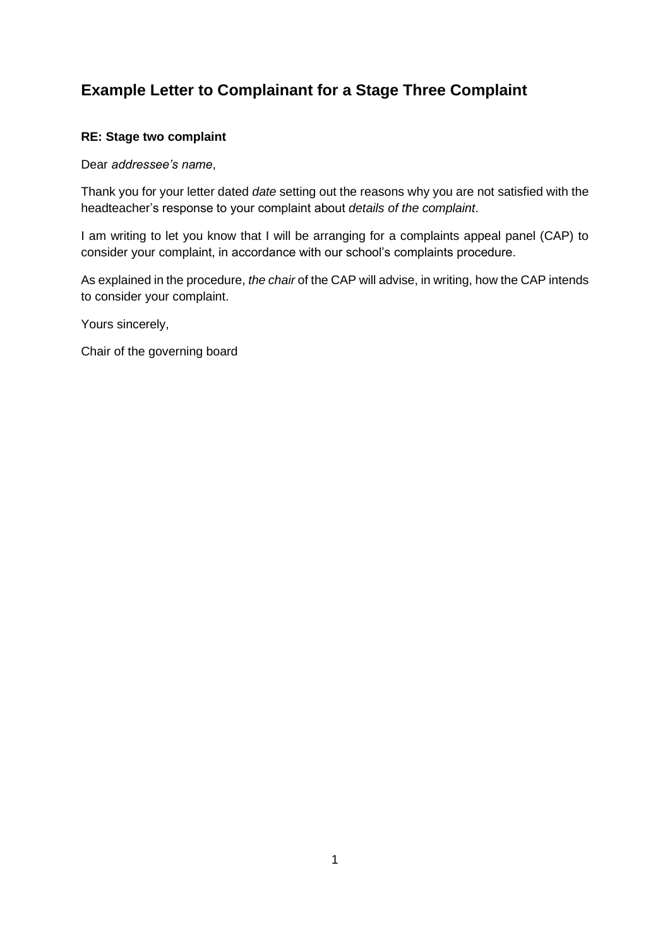# **Example Letter to Complainant for a Stage Three Complaint**

## **RE: Stage two complaint**

Dear *addressee's name*,

Thank you for your letter dated *date* setting out the reasons why you are not satisfied with the headteacher's response to your complaint about *details of the complaint*.

I am writing to let you know that I will be arranging for a complaints appeal panel (CAP) to consider your complaint, in accordance with our school's complaints procedure.

As explained in the procedure, *the chair* of the CAP will advise, in writing, how the CAP intends to consider your complaint.

Yours sincerely,

Chair of the governing board